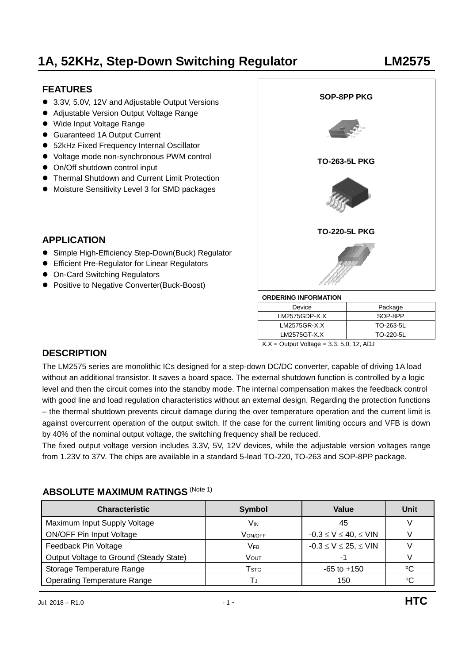## **FEATURES**

- 3.3V, 5.0V, 12V and Adjustable Output Versions
- Adjustable Version Output Voltage Range
- Wide Input Voltage Range
- Guaranteed 1A Output Current
- 52kHz Fixed Frequency Internal Oscillator
- Voltage mode non-synchronous PWM control
- On/Off shutdown control input
- Thermal Shutdown and Current Limit Protection
- Moisture Sensitivity Level 3 for SMD packages

### **APPLICATION**

- Simple High-Efficiency Step-Down(Buck) Regulator
- Efficient Pre-Regulator for Linear Regulators
- On-Card Switching Regulators
- Positive to Negative Converter(Buck-Boost)



| --------------------- |           |  |  |  |
|-----------------------|-----------|--|--|--|
| Device                | Package   |  |  |  |
| $LM2575GDP-X.X$       | SOP-8PP   |  |  |  |
| LM2575GR-X.X          | TO-263-5L |  |  |  |
| LM2575GT-X.X          | TO-220-5L |  |  |  |
| $\cdots$              |           |  |  |  |

 $X.X =$  Output Voltage = 3.3. 5.0, 12, ADJ

### **DESCRIPTION**

The LM2575 series are monolithic ICs designed for a step-down DC/DC converter, capable of driving 1A load without an additional transistor. It saves a board space. The external shutdown function is controlled by a logic level and then the circuit comes into the standby mode. The internal compensation makes the feedback control with good line and load regulation characteristics without an external design. Regarding the protection functions – the thermal shutdown prevents circuit damage during the over temperature operation and the current limit is against overcurrent operation of the output switch. If the case for the current limiting occurs and VFB is down by 40% of the nominal output voltage, the switching frequency shall be reduced.

The fixed output voltage version includes 3.3V, 5V, 12V devices, while the adjustable version voltages range from 1.23V to 37V. The chips are available in a standard 5-lead TO-220, TO-263 and SOP-8PP package.

### **ABSOLUTE MAXIMUM RATINGS (Note 1)**

| <b>Characteristic</b>                   | <b>Symbol</b>    | Value                        | Unit |
|-----------------------------------------|------------------|------------------------------|------|
| Maximum Input Supply Voltage            | Vın              | 45                           |      |
| <b>ON/OFF Pin Input Voltage</b>         | VON/OFF          | $-0.3 \le V \le 40, \le$ VIN |      |
| Feedback Pin Voltage                    | Vfb              | $-0.3 \le V \le 25, \le$ VIN |      |
| Output Voltage to Ground (Steady State) | Vout             |                              |      |
| Storage Temperature Range               | $\mathsf{T}$ stg | $-65$ to $+150$              | ∘C   |
| <b>Operating Temperature Range</b>      | IJ               | 150                          | ٥C   |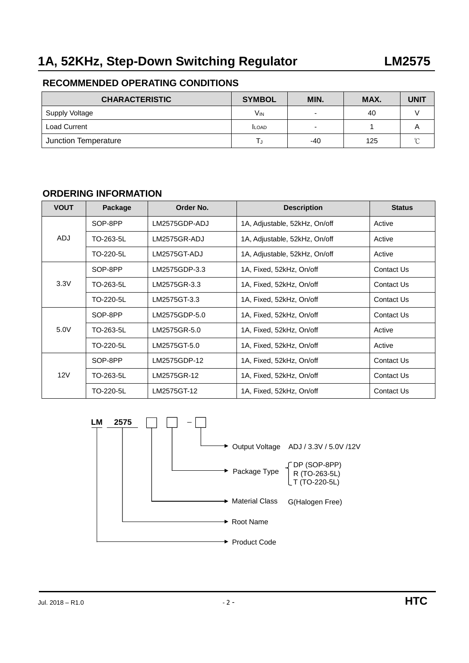## **RECOMMENDED OPERATING CONDITIONS**

| <b>CHARACTERISTIC</b> | <b>SYMBOL</b> | MIN. | MAX. | UNIT   |
|-----------------------|---------------|------|------|--------|
| Supply Voltage        | Vın           |      | 40   |        |
| <b>Load Current</b>   | <b>ILOAD</b>  |      |      |        |
| Junction Temperature  |               | -40  | 125  | $\sim$ |

#### **ORDERING INFORMATION**

| <b>VOUT</b> | Package   | Order No.     | <b>Description</b>            | <b>Status</b> |
|-------------|-----------|---------------|-------------------------------|---------------|
| SOP-8PP     |           | LM2575GDP-ADJ | 1A, Adjustable, 52kHz, On/off | Active        |
| ADJ         | TO-263-5L | LM2575GR-ADJ  | 1A, Adjustable, 52kHz, On/off | Active        |
|             | TO-220-5L | LM2575GT-ADJ  | 1A, Adjustable, 52kHz, On/off | Active        |
|             | SOP-8PP   | LM2575GDP-3.3 | 1A, Fixed, 52kHz, On/off      | Contact Us    |
| 3.3V        | TO-263-5L | LM2575GR-3.3  | 1A, Fixed, 52kHz, On/off      | Contact Us    |
|             | TO-220-5L | LM2575GT-3.3  | 1A, Fixed, 52kHz, On/off      | Contact Us    |
|             | SOP-8PP   | LM2575GDP-5.0 | 1A, Fixed, 52kHz, On/off      | Contact Us    |
| 5.0V        | TO-263-5L | LM2575GR-5.0  | 1A, Fixed, 52kHz, On/off      | Active        |
|             | TO-220-5L | LM2575GT-5.0  | 1A, Fixed, 52kHz, On/off      | Active        |
|             | SOP-8PP   | LM2575GDP-12  | 1A, Fixed, 52kHz, On/off      | Contact Us    |
| 12V         | TO-263-5L | LM2575GR-12   | 1A, Fixed, 52kHz, On/off      | Contact Us    |
|             | TO-220-5L | LM2575GT-12   | 1A, Fixed, 52kHz, On/off      | Contact Us    |

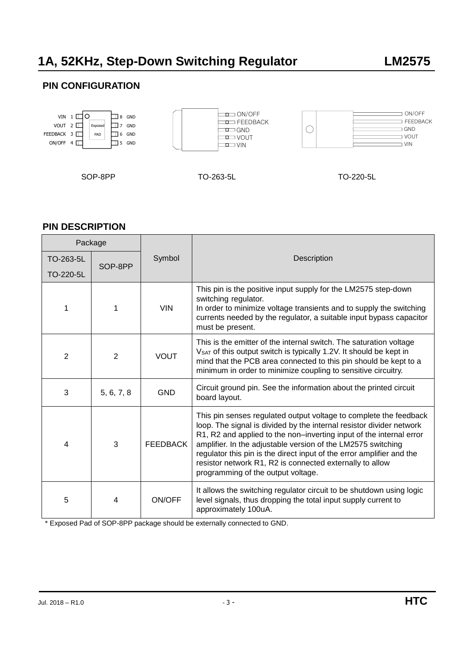## **PIN CONFIGURATION**



| <b>PIN DESCRIPTION</b> |                |                 |                                                                                                                                                                                                                                                                                                                                                                                                                                                             |  |  |
|------------------------|----------------|-----------------|-------------------------------------------------------------------------------------------------------------------------------------------------------------------------------------------------------------------------------------------------------------------------------------------------------------------------------------------------------------------------------------------------------------------------------------------------------------|--|--|
| Package                |                |                 |                                                                                                                                                                                                                                                                                                                                                                                                                                                             |  |  |
| TO-263-5L              | SOP-8PP        | Symbol          | <b>Description</b>                                                                                                                                                                                                                                                                                                                                                                                                                                          |  |  |
| TO-220-5L              |                |                 |                                                                                                                                                                                                                                                                                                                                                                                                                                                             |  |  |
| 1                      | 1              | <b>VIN</b>      | This pin is the positive input supply for the LM2575 step-down<br>switching regulator.<br>In order to minimize voltage transients and to supply the switching<br>currents needed by the regulator, a suitable input bypass capacitor<br>must be present.                                                                                                                                                                                                    |  |  |
| $\overline{2}$         | $\overline{2}$ | <b>VOUT</b>     | This is the emitter of the internal switch. The saturation voltage<br>VSAT of this output switch is typically 1.2V. It should be kept in<br>mind that the PCB area connected to this pin should be kept to a<br>minimum in order to minimize coupling to sensitive circuitry.                                                                                                                                                                               |  |  |
| 3                      | 5, 6, 7, 8     | <b>GND</b>      | Circuit ground pin. See the information about the printed circuit<br>board layout.                                                                                                                                                                                                                                                                                                                                                                          |  |  |
| 4                      | 3              | <b>FEEDBACK</b> | This pin senses regulated output voltage to complete the feedback<br>loop. The signal is divided by the internal resistor divider network<br>R1, R2 and applied to the non-inverting input of the internal error<br>amplifier. In the adjustable version of the LM2575 switching<br>regulator this pin is the direct input of the error amplifier and the<br>resistor network R1, R2 is connected externally to allow<br>programming of the output voltage. |  |  |
| 5                      | 4              | ON/OFF          | It allows the switching regulator circuit to be shutdown using logic<br>level signals, thus dropping the total input supply current to<br>approximately 100uA.                                                                                                                                                                                                                                                                                              |  |  |

\* Exposed Pad of SOP-8PP package should be externally connected to GND.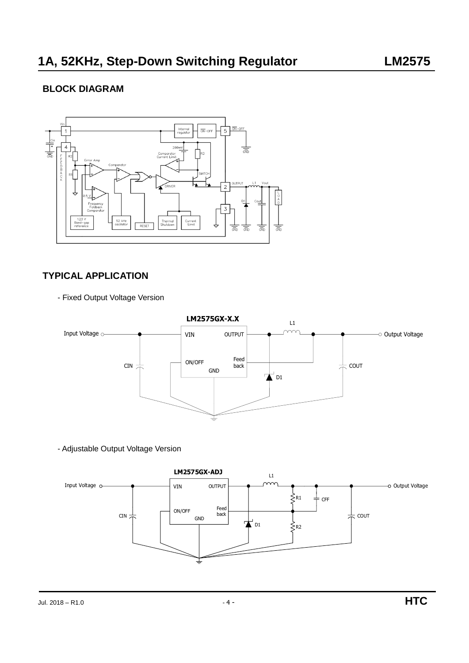## **BLOCK DIAGRAM**



## **TYPICAL APPLICATION**

- Fixed Output Voltage Version



- Adjustable Output Voltage Version

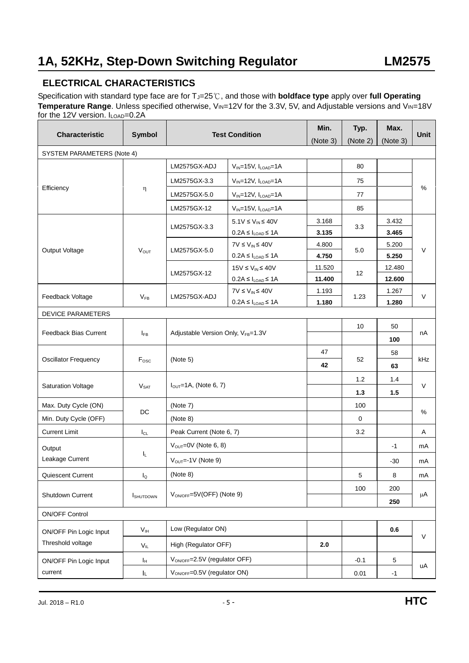## **ELECTRICAL CHARACTERISTICS**

Specification with standard type face are for T<sub>J</sub>=25℃, and those with **boldface type** apply over full Operating **Temperature Range**. Unless specified otherwise, V<sub>IN</sub>=12V for the 3.3V, 5V, and Adjustable versions and V<sub>IN</sub>=18V for the 12V version. I<sub>LOAD</sub>=0.2A

| <b>Characteristic</b>                       | <b>Symbol</b>           | <b>Test Condition</b>                      |                                                        | Min.     | Typ.     | Max.     | <b>Unit</b> |
|---------------------------------------------|-------------------------|--------------------------------------------|--------------------------------------------------------|----------|----------|----------|-------------|
|                                             |                         |                                            |                                                        | (Note 3) | (Note 2) | (Note 3) |             |
| SYSTEM PARAMETERS (Note 4)                  |                         |                                            |                                                        |          |          |          |             |
| Efficiency                                  |                         | LM2575GX-ADJ                               | $V_{IN}$ =15V, $I_{LOAD}$ =1A                          |          | 80       |          |             |
|                                             |                         | LM2575GX-3.3                               | $V_{IN}$ =12V, $I_{LOAD}$ =1A                          |          | 75       |          | %           |
|                                             | η                       | LM2575GX-5.0                               | $V_{IN}$ =12V, $I_{LOAD}$ =1A                          |          | 77       |          |             |
|                                             |                         | LM2575GX-12                                | $V_{IN}$ =15V, $I_{LOAD}$ =1A                          |          | 85       |          |             |
|                                             |                         |                                            | $5.1V \leq V_{IN} \leq 40V$                            | 3.168    |          | 3.432    |             |
|                                             |                         | LM2575GX-3.3                               | $0.2A \leq I_{\text{LOAD}} \leq 1A$                    | 3.135    | 3.3      | 3.465    |             |
|                                             |                         | LM2575GX-5.0                               | $7V \leq V_{IN} \leq 40V$                              | 4.800    | 5.0      | 5.200    | V           |
| Output Voltage                              | <b>VOUT</b>             |                                            | $0.2A \leq I_{\text{LOAD}} \leq 1A$                    | 4.750    |          | 5.250    |             |
|                                             |                         | LM2575GX-12                                | $15V \leq V_{IN} \leq 40V$                             | 11.520   | 12       | 12.480   |             |
|                                             |                         |                                            | $0.2A \leq I_{\text{LOAD}} \leq 1A$                    | 11.400   |          | 12.600   |             |
| Feedback Voltage                            | $V_{FB}$                | LM2575GX-ADJ                               | $7V \leq V_{IN} \leq 40V$                              | 1.193    | 1.23     | 1.267    | $\vee$      |
|                                             |                         |                                            | $0.2A \leq I_{\text{LOAD}} \leq 1A$                    | 1.180    |          | 1.280    |             |
| <b>DEVICE PARAMETERS</b>                    |                         |                                            |                                                        |          |          |          |             |
| <b>Feedback Bias Current</b>                | $I_{FB}$                | Adjustable Version Only, VFB=1.3V          |                                                        |          | 10       | 50       | nA          |
|                                             |                         |                                            |                                                        |          |          | 100      |             |
| <b>Oscillator Frequency</b>                 | F <sub>osc</sub>        | (Note 5)                                   |                                                        | 47       | 52       | 58       | kHz         |
|                                             |                         |                                            |                                                        | 42       |          | 63       |             |
|                                             |                         | $IOUT=1A$ , (Note 6, 7)                    |                                                        |          | 1.2      | 1.4      | $\vee$      |
| <b>Saturation Voltage</b>                   | $V_{\text{SAT}}$        |                                            |                                                        |          | 1.3      | 1.5      |             |
| Max. Duty Cycle (ON)                        |                         | (Note 7)                                   |                                                        |          | 100      |          |             |
| Min. Duty Cycle (OFF)                       | DC                      | (Note 8)                                   |                                                        |          | 0        |          | %           |
| <b>Current Limit</b>                        | $I_{CL}$                | Peak Current (Note 6, 7)                   |                                                        |          | 3.2      |          | Α           |
| Output                                      |                         |                                            | $V_{OUT} = 0V$ (Note 6, 8)<br>$V_{OUT} = -1V$ (Note 9) |          |          | $-1$     | mA          |
| Leakage Current                             | IL.                     |                                            |                                                        |          |          | $-30$    | mA          |
| Quiescent Current                           | $\mathsf{I}_\mathsf{Q}$ | (Note 8)                                   |                                                        |          | 5        | 8        | mA          |
|                                             |                         |                                            |                                                        |          | 100      | 200      |             |
| Shutdown Current                            | <b>I</b> SHUTDOWN       | VON/OFF=5V(OFF) (Note 9)                   |                                                        |          |          | 250      | μA          |
| <b>ON/OFF Control</b>                       |                         |                                            |                                                        |          |          |          |             |
| ON/OFF Pin Logic Input<br>Threshold voltage | V <sub>IH</sub>         | Low (Regulator ON)<br>High (Regulator OFF) |                                                        |          |          | 0.6      | $\vee$      |
|                                             | $V_{IL}$                |                                            |                                                        | 2.0      |          |          |             |
| ON/OFF Pin Logic Input                      | Iн                      | V <sub>ON/OFF</sub> =2.5V (regulator OFF)  |                                                        |          | $-0.1$   | 5        | uA          |
| current                                     | IL.                     | V <sub>ON/OFF</sub> =0.5V (regulator ON)   |                                                        | 0.01     | $-1$     |          |             |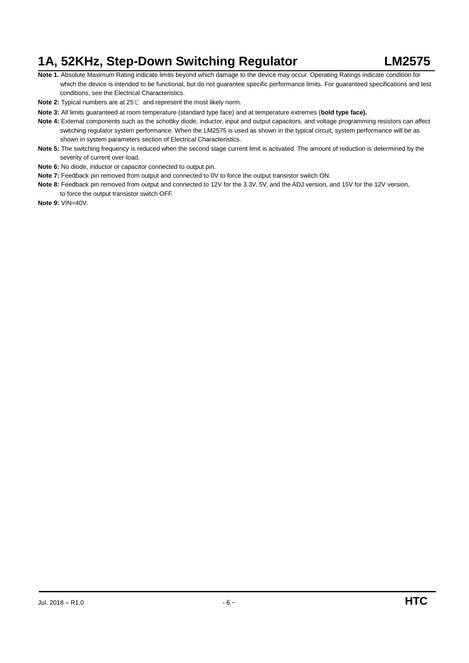- **Note 1.** Absolute Maximum Rating indicate limits beyond which damage to the device may occur. Operating Ratings indicate condition for which the device is intended to be functional, but do not guarantee specific performance limits. For guaranteed specifications and test conditions, see the Electrical Characteristics.
- **Note 2:** Typical numbers are at 25℃ and represent the most likely norm.
- **Note 3:** All limits guaranteed at room temperature (standard type face) and at temperature extremes (**bold type face).**
- **Note 4:** External components such as the schottky diode, inductor, input and output capacitors, and voltage programming resistors can affect switching regulator system performance. When the LM2575 is used as shown in the typical circuit, system performance will be as shown in system parameters section of Electrical Characteristics.
- **Note 5:** The switching frequency is reduced when the second stage current limit is activated. The amount of reduction is determined by the severity of current over-load.
- **Note 6:** No diode, inductor or capacitor connected to output pin.
- **Note 7:** Feedback pin removed from output and connected to 0V to force the output transistor switch ON.
- **Note 8:** Feedback pin removed from output and connected to 12V for the 3.3V, 5V, and the ADJ version, and 15V for the 12V version, to force the output transistor switch OFF.
- **Note 9:** VIN=40V.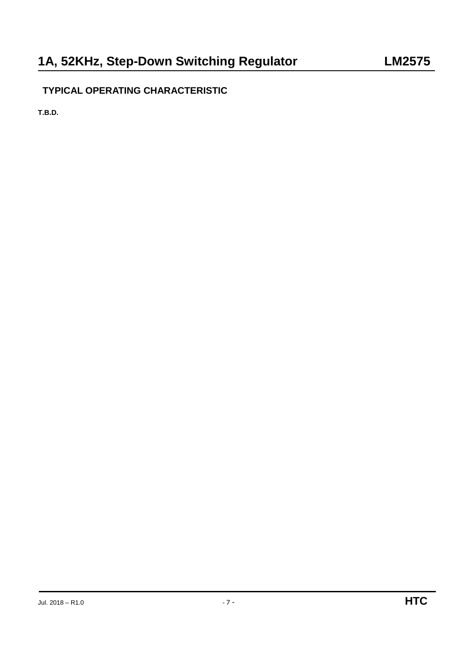# **TYPICAL OPERATING CHARACTERISTIC**

**T.B.D.**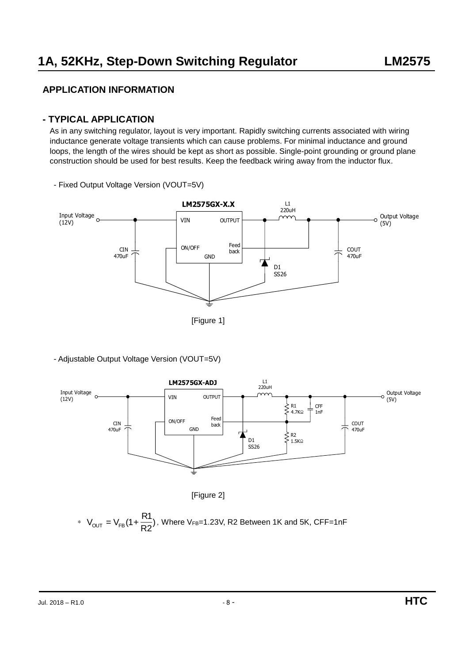## **APPLICATION INFORMATION**

#### **- TYPICAL APPLICATION**

As in any switching regulator, layout is very important. Rapidly switching currents associated with wiring inductance generate voltage transients which can cause problems. For minimal inductance and ground loops, the length of the wires should be kept as short as possible. Single-point grounding or ground plane construction should be used for best results. Keep the feedback wiring away from the inductor flux.



- Fixed Output Voltage Version (VOUT=5V)







\* 
$$
V_{\text{OUT}} = V_{\text{FB}}(1 + \frac{R1}{R2})
$$
, Where V<sub>FB</sub>=1.23V, R2 Between 1K and 5K, CFF=1nF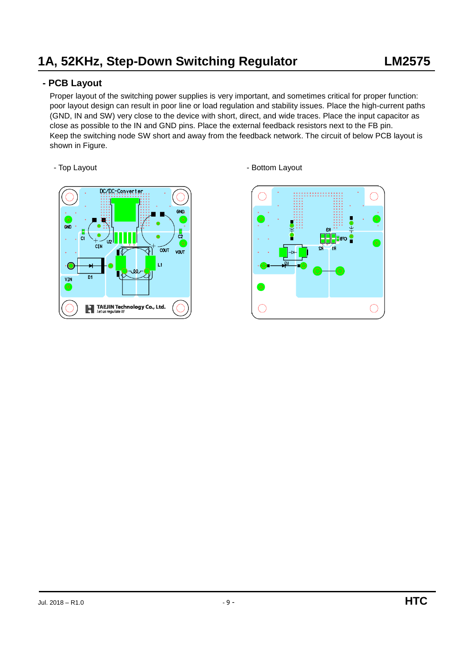## **- PCB Layout**

Proper layout of the switching power supplies is very important, and sometimes critical for proper function: poor layout design can result in poor line or load regulation and stability issues. Place the high-current paths (GND, IN and SW) very close to the device with short, direct, and wide traces. Place the input capacitor as close as possible to the IN and GND pins. Place the external feedback resistors next to the FB pin. Keep the switching node SW short and away from the feedback network. The circuit of below PCB layout is shown in Figure.



- Top Layout **- Bottom Layout**